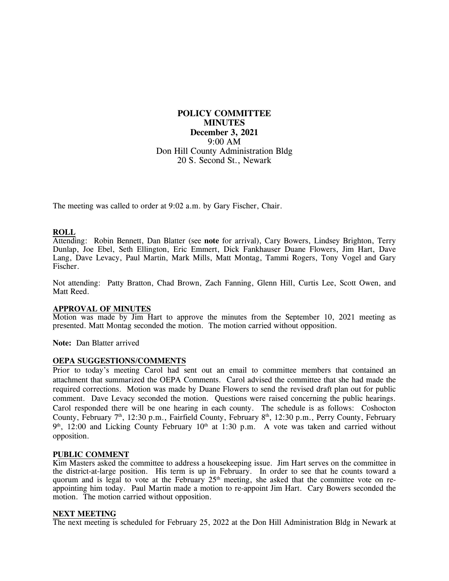# **POLICY COMMITTEE MINUTES December 3, 2021** 9:00 AM Don Hill County Administration Bldg 20 S. Second St., Newark

The meeting was called to order at 9:02 a.m. by Gary Fischer, Chair.

## **ROLL**

Attending: Robin Bennett, Dan Blatter (see **note** for arrival), Cary Bowers, Lindsey Brighton, Terry Dunlap, Joe Ebel, Seth Ellington, Eric Emmert, Dick Fankhauser Duane Flowers, Jim Hart, Dave Lang, Dave Levacy, Paul Martin, Mark Mills, Matt Montag, Tammi Rogers, Tony Vogel and Gary Fischer.

Not attending: Patty Bratton, Chad Brown, Zach Fanning, Glenn Hill, Curtis Lee, Scott Owen, and Matt Reed.

### **APPROVAL OF MINUTES**

Motion was made by Jim Hart to approve the minutes from the September 10, 2021 meeting as presented. Matt Montag seconded the motion. The motion carried without opposition.

**Note:** Dan Blatter arrived

### **OEPA SUGGESTIONS/COMMENTS**

Prior to today's meeting Carol had sent out an email to committee members that contained an attachment that summarized the OEPA Comments. Carol advised the committee that she had made the required corrections. Motion was made by Duane Flowers to send the revised draft plan out for public comment. Dave Levacy seconded the motion. Questions were raised concerning the public hearings. Carol responded there will be one hearing in each county. The schedule is as follows: Coshocton County, February 7<sup>th</sup>, 12:30 p.m., Fairfield County, February 8<sup>th</sup>, 12:30 p.m., Perry County, February  $9<sup>th</sup>$ , 12:00 and Licking County February 10<sup>th</sup> at 1:30 p.m. A vote was taken and carried without opposition.

#### **PUBLIC COMMENT**

Kim Masters asked the committee to address a housekeeping issue. Jim Hart serves on the committee in the district-at-large position. His term is up in February. In order to see that he counts toward a quorum and is legal to vote at the February 25<sup>th</sup> meeting, she asked that the committee vote on reappointing him today. Paul Martin made a motion to re-appoint Jim Hart. Cary Bowers seconded the motion. The motion carried without opposition.

#### **NEXT MEETING**

The next meeting is scheduled for February 25, 2022 at the Don Hill Administration Bldg in Newark at